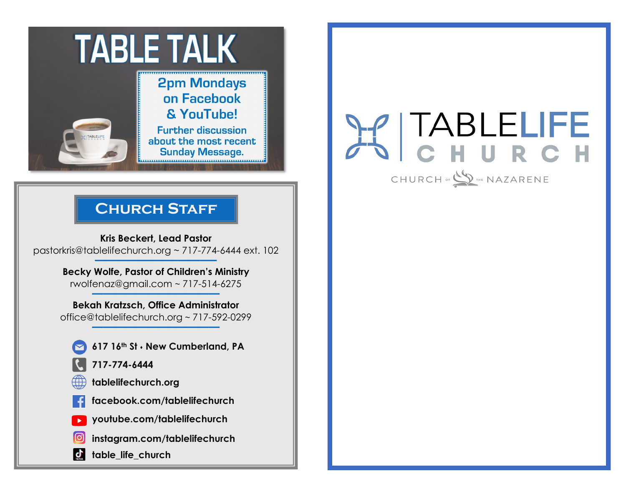

**2pm Mondays** on Facebook & YouTube!

**Further discussion** about the most recent **Sunday Message.** 

## **Church Staff**

**Kris Beckert, Lead Pastor** pastorkris@tablelifechurch.org ~ 717-774-6444 ext. 102 **———————–———–**

**Becky Wolfe, Pastor of Children's Ministry** rwolfenaz@gmail.com ~ 717-514-6275 **———————–————**

**Bekah Kratzsch, Office Administrator** office@tablelifechurch.org ~ 717-592-0299 **———————–————**

- **617 16th St** ⬧ **New Cumberland, PA**
- **717-774-6444**
- **tablelifechurch.org**
- **facebook.com/tablelifechurch**
- **youtube.com/tablelifechurch**
- **instagram.com/tablelifechurch**
- **table\_life\_church**  $\mathbf{d}$

# TABLELIFE HURCH

CHURCH OF SUPPLE NAZARENE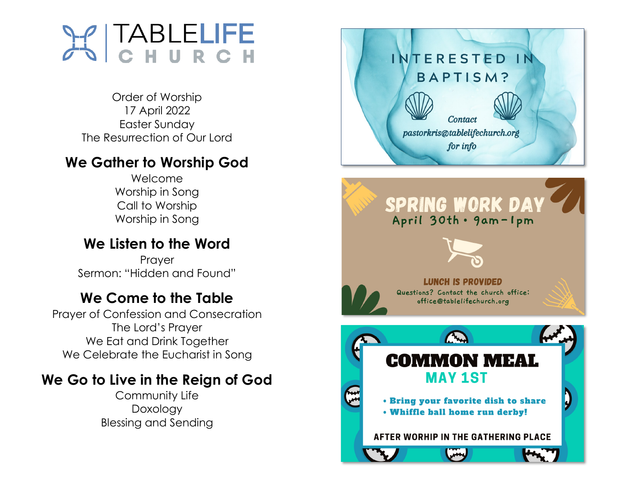

Order of Worship 17 April 2022 Easter Sunday The Resurrection of Our Lord

### **We Gather to Worship God**

Welcome Worship in Song Call to Worship Worship in Song

## **We Listen to the Word**

Prayer Sermon: "Hidden and Found"

## **We Come to the Table**

Prayer of Confession and Consecration The Lord's Prayer We Eat and Drink Together We Celebrate the Eucharist in Song

## **We Go to Live in the Reign of God**

Community Life Doxology Blessing and Sending



. Bring your favorite dish to share . Whiffle ball home run derby!

AFTER WORHIP IN THE GATHERING PLACE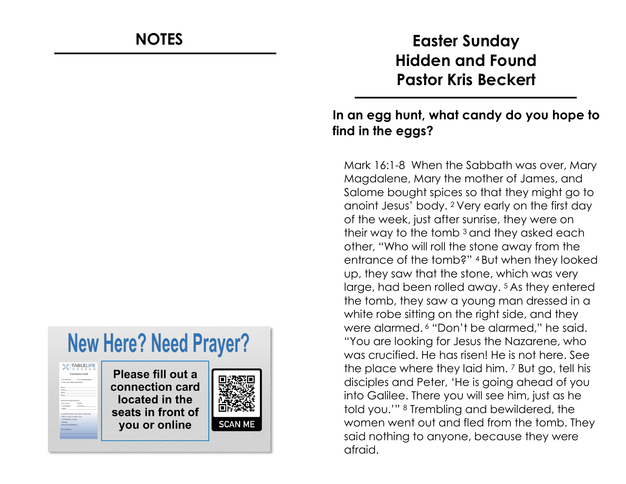#### **New Here? Need Prayer? Y** | TABLELIFE Please fill out a connection card located in the seats in front of **SCAN ME** you or online

## **NOTES Easter Sunday Hidden and Found Pastor Kris Beckert**

#### **In an egg hunt, what candy do you hope to find in the eggs?**

Mark 16:1 -8 When the Sabbath was over, Mary Magdalene, Mary the mother of James, and Salome bought spices so that they might go to anoint Jesus' body. 2 Very early on the first day of the week, just after sunrise, they were on their way to the tomb 3 and they asked each other, "Who will roll the stone away from the entrance of the tomb?" 4 But when they looked up, they saw that the stone, which was very large, had been rolled away. 5 As they entered the tomb, they saw a young man dressed in a white robe sitting on the right side, and they were alarmed. <sup>6</sup> "Don't be alarmed," he said. "You are looking for Jesus the Nazarene, who was crucified. He has risen! He is not here. See the place where they laid him. <sup>7</sup> But go, tell his disciples and Peter, 'He is going ahead of you into Galilee. There you will see him, just as he told you.'" <sup>8</sup> Trembling and bewildered, the women went out and fled from the tomb. They said nothing to anyone, because they were afraid.